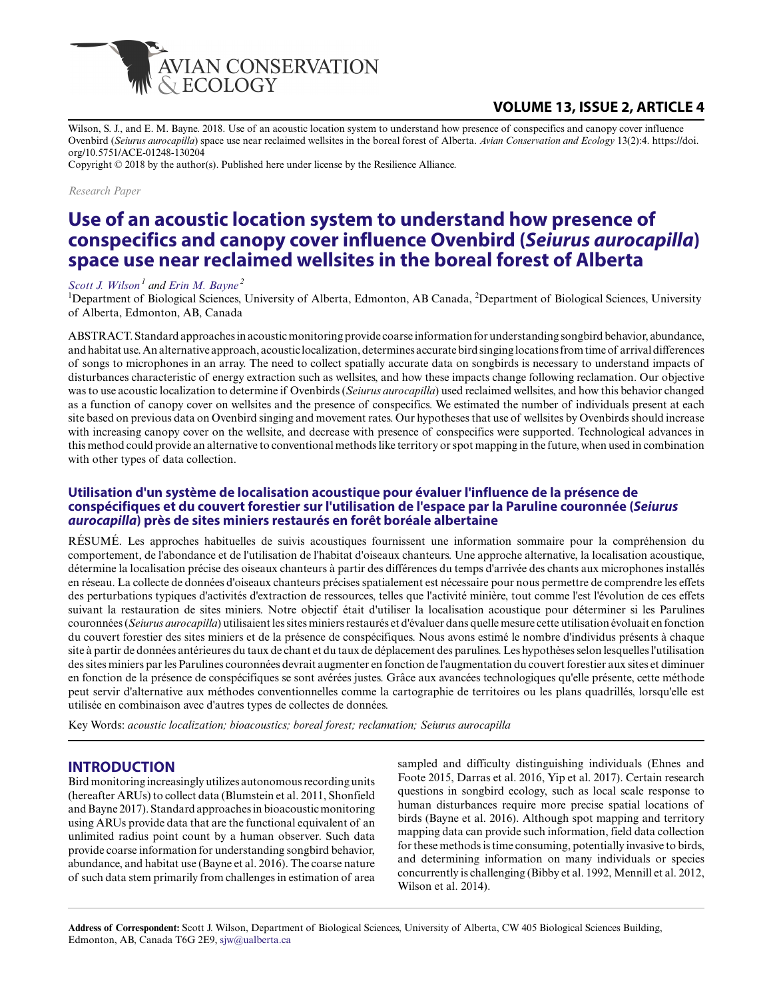

## **VOLUME 13, ISSUE 2, ARTICLE 4**

Wilson, S. J., and E. M. Bayne. 2018. Use of an acoustic location system to understand how presence of conspecifics and canopy cover influence Ovenbird (*Seiurus aurocapilla*) space use near reclaimed wellsites in the boreal forest of Alberta. *Avian Conservation and Ecology* 13(2):4. https://doi. org/10.5751/ACE-01248-130204

Copyright © 2018 by the author(s). Published here under license by the Resilience Alliance.

*Research Paper*

# **Use of an acoustic location system to understand how presence of conspecifics and canopy cover influence Ovenbird (***Seiurus aurocapilla***) space use near reclaimed wellsites in the boreal forest of Alberta**

#### *[Scott J. Wilson](mailto:sjw@ualberta.ca)<sup>1</sup> and [Erin M. Bayne](mailto:bayne@ualberta.ca)<sup>2</sup>*

<sup>1</sup>Department of Biological Sciences, University of Alberta, Edmonton, AB Canada, <sup>2</sup>Department of Biological Sciences, University of Alberta, Edmonton, AB, Canada

ABSTRACT. Standard approaches in acoustic monitoring provide coarse information for understanding songbird behavior, abundance, and habitat use. An alternative approach, acoustic localization, determines accurate bird singing locations from time of arrival differences of songs to microphones in an array. The need to collect spatially accurate data on songbirds is necessary to understand impacts of disturbances characteristic of energy extraction such as wellsites, and how these impacts change following reclamation. Our objective was to use acoustic localization to determine if Ovenbirds (*Seiurus aurocapilla*) used reclaimed wellsites, and how this behavior changed as a function of canopy cover on wellsites and the presence of conspecifics. We estimated the number of individuals present at each site based on previous data on Ovenbird singing and movement rates. Our hypotheses that use of wellsites by Ovenbirds should increase with increasing canopy cover on the wellsite, and decrease with presence of conspecifics were supported. Technological advances in this method could provide an alternative to conventional methods like territory or spot mapping in the future, when used in combination with other types of data collection.

#### **Utilisation d'un système de localisation acoustique pour évaluer l'influence de la présence de conspécifiques et du couvert forestier sur l'utilisation de l'espace par la Paruline couronnée (***Seiurus aurocapilla***) près de sites miniers restaurés en forêt boréale albertaine**

RÉSUMÉ. Les approches habituelles de suivis acoustiques fournissent une information sommaire pour la compréhension du comportement, de l'abondance et de l'utilisation de l'habitat d'oiseaux chanteurs. Une approche alternative, la localisation acoustique, détermine la localisation précise des oiseaux chanteurs à partir des différences du temps d'arrivée des chants aux microphones installés en réseau. La collecte de données d'oiseaux chanteurs précises spatialement est nécessaire pour nous permettre de comprendre les effets des perturbations typiques d'activités d'extraction de ressources, telles que l'activité minière, tout comme l'est l'évolution de ces effets suivant la restauration de sites miniers. Notre objectif était d'utiliser la localisation acoustique pour déterminer si les Parulines couronnées (*Seiurus aurocapilla*) utilisaient les sites miniers restaurés et d'évaluer dans quelle mesure cette utilisation évoluait en fonction du couvert forestier des sites miniers et de la présence de conspécifiques. Nous avons estimé le nombre d'individus présents à chaque site à partir de données antérieures du taux de chant et du taux de déplacement des parulines. Les hypothèses selon lesquelles l'utilisation des sites miniers par les Parulines couronnées devrait augmenter en fonction de l'augmentation du couvert forestier aux sites et diminuer en fonction de la présence de conspécifiques se sont avérées justes. Grâce aux avancées technologiques qu'elle présente, cette méthode peut servir d'alternative aux méthodes conventionnelles comme la cartographie de territoires ou les plans quadrillés, lorsqu'elle est utilisée en combinaison avec d'autres types de collectes de données.

Key Words: *acoustic localization; bioacoustics; boreal forest; reclamation; Seiurus aurocapilla*

#### **INTRODUCTION**

Bird monitoring increasingly utilizes autonomous recording units (hereafter ARUs) to collect data (Blumstein et al. 2011, Shonfield and Bayne 2017). Standard approaches in bioacoustic monitoring using ARUs provide data that are the functional equivalent of an unlimited radius point count by a human observer. Such data provide coarse information for understanding songbird behavior, abundance, and habitat use (Bayne et al. 2016). The coarse nature of such data stem primarily from challenges in estimation of area

sampled and difficulty distinguishing individuals (Ehnes and Foote 2015, Darras et al. 2016, Yip et al. 2017). Certain research questions in songbird ecology, such as local scale response to human disturbances require more precise spatial locations of birds (Bayne et al. 2016). Although spot mapping and territory mapping data can provide such information, field data collection for these methods is time consuming, potentially invasive to birds, and determining information on many individuals or species concurrently is challenging (Bibby et al. 1992, Mennill et al. 2012, Wilson et al. 2014).

**Address of Correspondent:** Scott J. Wilson, Department of Biological Sciences, University of Alberta, CW 405 Biological Sciences Building, Edmonton, AB, Canada T6G 2E9, [sjw@ualberta.ca](mailto:sjw@ualberta.ca)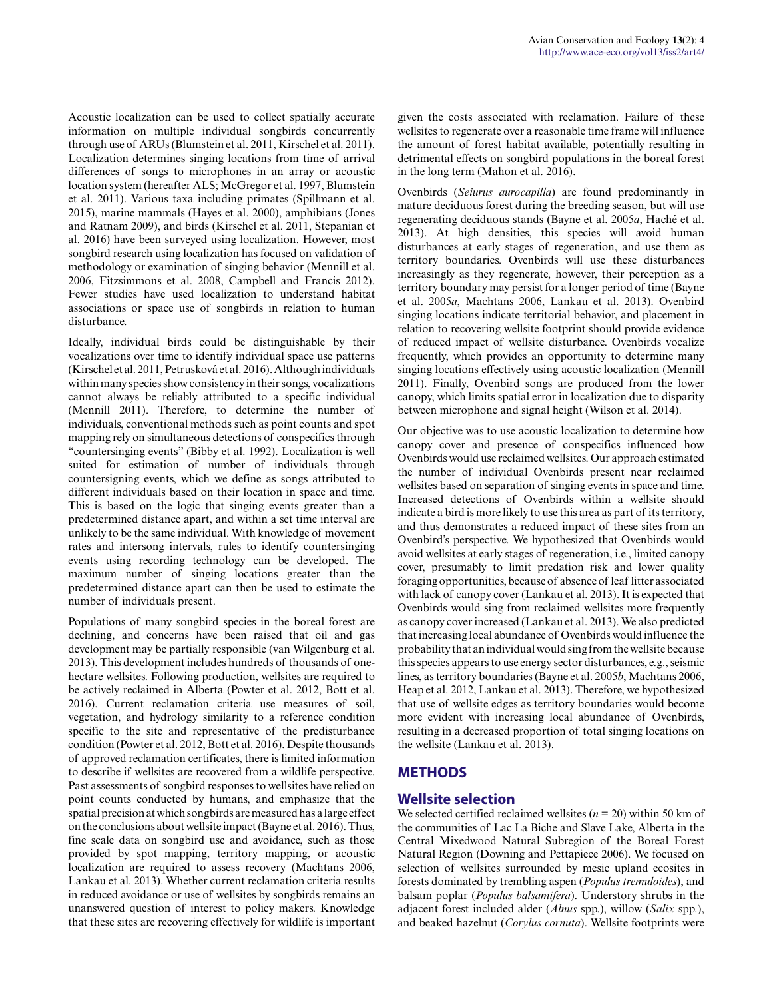Acoustic localization can be used to collect spatially accurate information on multiple individual songbirds concurrently through use of ARUs (Blumstein et al. 2011, Kirschel et al. 2011). Localization determines singing locations from time of arrival differences of songs to microphones in an array or acoustic location system (hereafter ALS; McGregor et al. 1997, Blumstein et al. 2011). Various taxa including primates (Spillmann et al. 2015), marine mammals (Hayes et al. 2000), amphibians (Jones and Ratnam 2009), and birds (Kirschel et al. 2011, Stepanian et al. 2016) have been surveyed using localization. However, most songbird research using localization has focused on validation of methodology or examination of singing behavior (Mennill et al. 2006, Fitzsimmons et al. 2008, Campbell and Francis 2012). Fewer studies have used localization to understand habitat associations or space use of songbirds in relation to human disturbance.

Ideally, individual birds could be distinguishable by their vocalizations over time to identify individual space use patterns (Kirschel et al. 2011, Petrusková et al. 2016). Although individuals within many species show consistency in their songs, vocalizations cannot always be reliably attributed to a specific individual (Mennill 2011). Therefore, to determine the number of individuals, conventional methods such as point counts and spot mapping rely on simultaneous detections of conspecifics through "countersinging events" (Bibby et al. 1992). Localization is well suited for estimation of number of individuals through countersigning events, which we define as songs attributed to different individuals based on their location in space and time. This is based on the logic that singing events greater than a predetermined distance apart, and within a set time interval are unlikely to be the same individual. With knowledge of movement rates and intersong intervals, rules to identify countersinging events using recording technology can be developed. The maximum number of singing locations greater than the predetermined distance apart can then be used to estimate the number of individuals present.

Populations of many songbird species in the boreal forest are declining, and concerns have been raised that oil and gas development may be partially responsible (van Wilgenburg et al. 2013). This development includes hundreds of thousands of onehectare wellsites. Following production, wellsites are required to be actively reclaimed in Alberta (Powter et al. 2012, Bott et al. 2016). Current reclamation criteria use measures of soil, vegetation, and hydrology similarity to a reference condition specific to the site and representative of the predisturbance condition (Powter et al. 2012, Bott et al. 2016). Despite thousands of approved reclamation certificates, there is limited information to describe if wellsites are recovered from a wildlife perspective. Past assessments of songbird responses to wellsites have relied on point counts conducted by humans, and emphasize that the spatial precision at which songbirds are measured has a large effect on the conclusions about wellsite impact (Bayne et al. 2016). Thus, fine scale data on songbird use and avoidance, such as those provided by spot mapping, territory mapping, or acoustic localization are required to assess recovery (Machtans 2006, Lankau et al. 2013). Whether current reclamation criteria results in reduced avoidance or use of wellsites by songbirds remains an unanswered question of interest to policy makers. Knowledge that these sites are recovering effectively for wildlife is important

given the costs associated with reclamation. Failure of these wellsites to regenerate over a reasonable time frame will influence the amount of forest habitat available, potentially resulting in detrimental effects on songbird populations in the boreal forest in the long term (Mahon et al. 2016).

Ovenbirds (*Seiurus aurocapilla*) are found predominantly in mature deciduous forest during the breeding season, but will use regenerating deciduous stands (Bayne et al. 2005*a*, Haché et al. 2013). At high densities, this species will avoid human disturbances at early stages of regeneration, and use them as territory boundaries. Ovenbirds will use these disturbances increasingly as they regenerate, however, their perception as a territory boundary may persist for a longer period of time (Bayne et al. 2005*a*, Machtans 2006, Lankau et al. 2013). Ovenbird singing locations indicate territorial behavior, and placement in relation to recovering wellsite footprint should provide evidence of reduced impact of wellsite disturbance. Ovenbirds vocalize frequently, which provides an opportunity to determine many singing locations effectively using acoustic localization (Mennill 2011). Finally, Ovenbird songs are produced from the lower canopy, which limits spatial error in localization due to disparity between microphone and signal height (Wilson et al. 2014).

Our objective was to use acoustic localization to determine how canopy cover and presence of conspecifics influenced how Ovenbirds would use reclaimed wellsites. Our approach estimated the number of individual Ovenbirds present near reclaimed wellsites based on separation of singing events in space and time. Increased detections of Ovenbirds within a wellsite should indicate a bird is more likely to use this area as part of its territory, and thus demonstrates a reduced impact of these sites from an Ovenbird's perspective. We hypothesized that Ovenbirds would avoid wellsites at early stages of regeneration, i.e., limited canopy cover, presumably to limit predation risk and lower quality foraging opportunities, because of absence of leaf litter associated with lack of canopy cover (Lankau et al. 2013). It is expected that Ovenbirds would sing from reclaimed wellsites more frequently as canopy cover increased (Lankau et al. 2013). We also predicted that increasing local abundance of Ovenbirds would influence the probability that an individual would sing from the wellsite because this species appears to use energy sector disturbances, e.g., seismic lines, as territory boundaries (Bayne et al. 2005*b*, Machtans 2006, Heap et al. 2012, Lankau et al. 2013). Therefore, we hypothesized that use of wellsite edges as territory boundaries would become more evident with increasing local abundance of Ovenbirds, resulting in a decreased proportion of total singing locations on the wellsite (Lankau et al. 2013).

## **METHODS**

#### **Wellsite selection**

We selected certified reclaimed wellsites  $(n = 20)$  within 50 km of the communities of Lac La Biche and Slave Lake, Alberta in the Central Mixedwood Natural Subregion of the Boreal Forest Natural Region (Downing and Pettapiece 2006). We focused on selection of wellsites surrounded by mesic upland ecosites in forests dominated by trembling aspen (*Populus tremuloides*), and balsam poplar (*Populus balsamifera*). Understory shrubs in the adjacent forest included alder (*Alnus* spp.), willow (*Salix* spp.), and beaked hazelnut (*Corylus cornuta*). Wellsite footprints were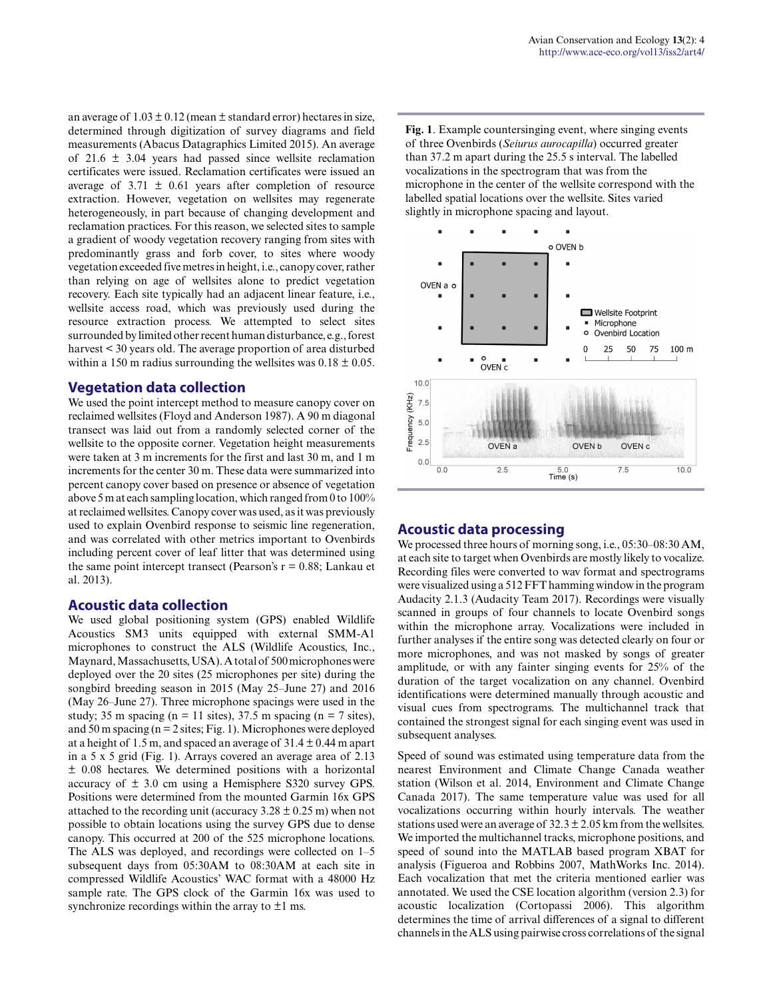an average of  $1.03 \pm 0.12$  (mean  $\pm$  standard error) hectares in size, determined through digitization of survey diagrams and field measurements (Abacus Datagraphics Limited 2015). An average of  $21.6 \pm 3.04$  years had passed since wellsite reclamation certificates were issued. Reclamation certificates were issued an average of  $3.71 \pm 0.61$  years after completion of resource extraction. However, vegetation on wellsites may regenerate heterogeneously, in part because of changing development and reclamation practices. For this reason, we selected sites to sample a gradient of woody vegetation recovery ranging from sites with predominantly grass and forb cover, to sites where woody vegetation exceeded five metres in height, i.e., canopy cover, rather than relying on age of wellsites alone to predict vegetation recovery. Each site typically had an adjacent linear feature, i.e., wellsite access road, which was previously used during the resource extraction process. We attempted to select sites surrounded by limited other recent human disturbance, e.g., forest harvest < 30 years old. The average proportion of area disturbed within a 150 m radius surrounding the well sites was  $0.18 \pm 0.05$ .

#### **Vegetation data collection**

We used the point intercept method to measure canopy cover on reclaimed wellsites (Floyd and Anderson 1987). A 90 m diagonal transect was laid out from a randomly selected corner of the wellsite to the opposite corner. Vegetation height measurements were taken at 3 m increments for the first and last 30 m, and 1 m increments for the center 30 m. These data were summarized into percent canopy cover based on presence or absence of vegetation above 5 m at each sampling location, which ranged from 0 to 100% at reclaimed wellsites. Canopy cover was used, as it was previously used to explain Ovenbird response to seismic line regeneration, and was correlated with other metrics important to Ovenbirds including percent cover of leaf litter that was determined using the same point intercept transect (Pearson's  $r = 0.88$ ; Lankau et al. 2013).

#### **Acoustic data collection**

We used global positioning system (GPS) enabled Wildlife Acoustics SM3 units equipped with external SMM-A1 microphones to construct the ALS (Wildlife Acoustics, Inc., Maynard, Massachusetts, USA). A total of 500 microphones were deployed over the 20 sites (25 microphones per site) during the songbird breeding season in 2015 (May 25–June 27) and 2016 (May 26–June 27). Three microphone spacings were used in the study; 35 m spacing (n = 11 sites), 37.5 m spacing (n = 7 sites), and 50 m spacing ( $n = 2$  sites; Fig. 1). Microphones were deployed at a height of 1.5 m, and spaced an average of  $31.4 \pm 0.44$  m apart in a 5 x 5 grid (Fig. 1). Arrays covered an average area of 2.13 ± 0.08 hectares. We determined positions with a horizontal accuracy of ± 3.0 cm using a Hemisphere S320 survey GPS. Positions were determined from the mounted Garmin 16x GPS attached to the recording unit (accuracy  $3.28 \pm 0.25$  m) when not possible to obtain locations using the survey GPS due to dense canopy. This occurred at 200 of the 525 microphone locations. The ALS was deployed, and recordings were collected on 1–5 subsequent days from 05:30AM to 08:30AM at each site in compressed Wildlife Acoustics' WAC format with a 48000 Hz sample rate. The GPS clock of the Garmin 16x was used to synchronize recordings within the array to  $\pm 1$  ms.

**Fig. 1**. Example countersinging event, where singing events of three Ovenbirds (*Seiurus aurocapilla*) occurred greater than 37.2 m apart during the 25.5 s interval. The labelled vocalizations in the spectrogram that was from the microphone in the center of the wellsite correspond with the labelled spatial locations over the wellsite. Sites varied slightly in microphone spacing and layout.



## **Acoustic data processing**

We processed three hours of morning song, i.e., 05:30–08:30 AM, at each site to target when Ovenbirds are mostly likely to vocalize. Recording files were converted to wav format and spectrograms were visualized using a 512 FFT hamming window in the program Audacity 2.1.3 (Audacity Team 2017). Recordings were visually scanned in groups of four channels to locate Ovenbird songs within the microphone array. Vocalizations were included in further analyses if the entire song was detected clearly on four or more microphones, and was not masked by songs of greater amplitude, or with any fainter singing events for 25% of the duration of the target vocalization on any channel. Ovenbird identifications were determined manually through acoustic and visual cues from spectrograms. The multichannel track that contained the strongest signal for each singing event was used in subsequent analyses.

Speed of sound was estimated using temperature data from the nearest Environment and Climate Change Canada weather station (Wilson et al. 2014, Environment and Climate Change Canada 2017). The same temperature value was used for all vocalizations occurring within hourly intervals. The weather stations used were an average of  $32.3 \pm 2.05$  km from the well sites. We imported the multichannel tracks, microphone positions, and speed of sound into the MATLAB based program XBAT for analysis (Figueroa and Robbins 2007, MathWorks Inc. 2014). Each vocalization that met the criteria mentioned earlier was annotated. We used the CSE location algorithm (version 2.3) for acoustic localization (Cortopassi 2006). This algorithm determines the time of arrival differences of a signal to different channels in the ALS using pairwise cross correlations of the signal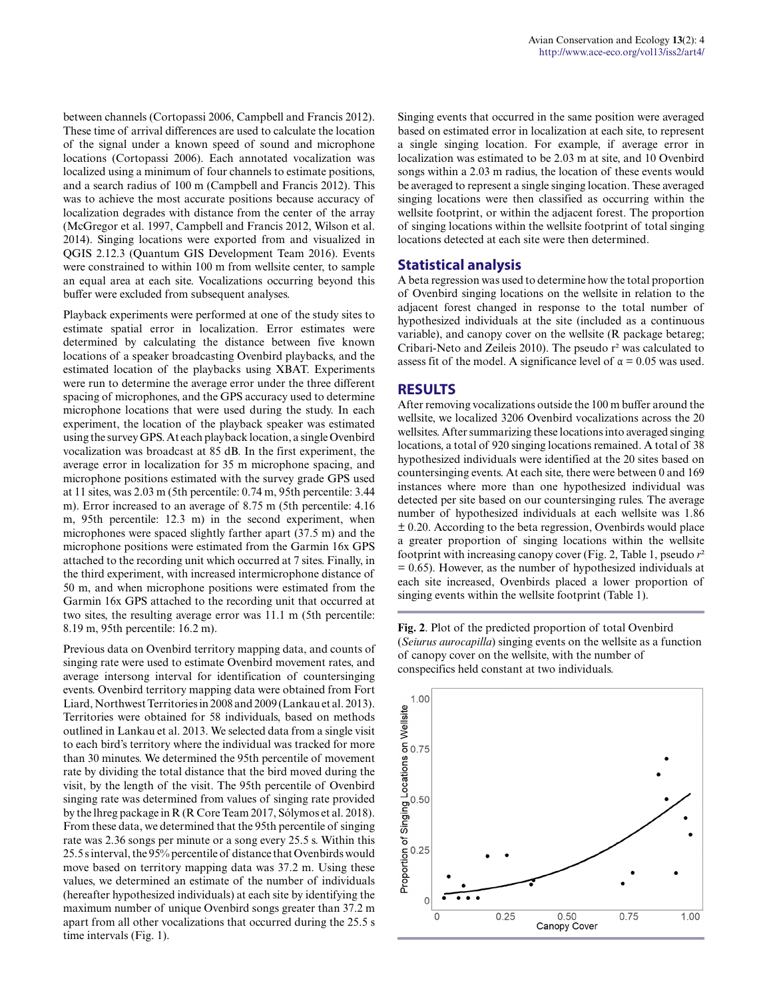between channels (Cortopassi 2006, Campbell and Francis 2012). These time of arrival differences are used to calculate the location of the signal under a known speed of sound and microphone locations (Cortopassi 2006). Each annotated vocalization was localized using a minimum of four channels to estimate positions, and a search radius of 100 m (Campbell and Francis 2012). This was to achieve the most accurate positions because accuracy of localization degrades with distance from the center of the array (McGregor et al. 1997, Campbell and Francis 2012, Wilson et al. 2014). Singing locations were exported from and visualized in QGIS 2.12.3 (Quantum GIS Development Team 2016). Events were constrained to within 100 m from wellsite center, to sample an equal area at each site. Vocalizations occurring beyond this buffer were excluded from subsequent analyses.

Playback experiments were performed at one of the study sites to estimate spatial error in localization. Error estimates were determined by calculating the distance between five known locations of a speaker broadcasting Ovenbird playbacks, and the estimated location of the playbacks using XBAT. Experiments were run to determine the average error under the three different spacing of microphones, and the GPS accuracy used to determine microphone locations that were used during the study. In each experiment, the location of the playback speaker was estimated using the survey GPS. At each playback location, a single Ovenbird vocalization was broadcast at 85 dB. In the first experiment, the average error in localization for 35 m microphone spacing, and microphone positions estimated with the survey grade GPS used at 11 sites, was 2.03 m (5th percentile: 0.74 m, 95th percentile: 3.44 m). Error increased to an average of 8.75 m (5th percentile: 4.16 m, 95th percentile: 12.3 m) in the second experiment, when microphones were spaced slightly farther apart (37.5 m) and the microphone positions were estimated from the Garmin 16x GPS attached to the recording unit which occurred at 7 sites. Finally, in the third experiment, with increased intermicrophone distance of 50 m, and when microphone positions were estimated from the Garmin 16x GPS attached to the recording unit that occurred at two sites, the resulting average error was 11.1 m (5th percentile: 8.19 m, 95th percentile: 16.2 m).

Previous data on Ovenbird territory mapping data, and counts of singing rate were used to estimate Ovenbird movement rates, and average intersong interval for identification of countersinging events. Ovenbird territory mapping data were obtained from Fort Liard, Northwest Territories in 2008 and 2009 (Lankau et al. 2013). Territories were obtained for 58 individuals, based on methods outlined in Lankau et al. 2013. We selected data from a single visit to each bird's territory where the individual was tracked for more than 30 minutes. We determined the 95th percentile of movement rate by dividing the total distance that the bird moved during the visit, by the length of the visit. The 95th percentile of Ovenbird singing rate was determined from values of singing rate provided by the lhreg package in R (R Core Team 2017, Sólymos et al. 2018). From these data, we determined that the 95th percentile of singing rate was 2.36 songs per minute or a song every 25.5 s. Within this 25.5 s interval, the 95% percentile of distance that Ovenbirds would move based on territory mapping data was 37.2 m. Using these values, we determined an estimate of the number of individuals (hereafter hypothesized individuals) at each site by identifying the maximum number of unique Ovenbird songs greater than 37.2 m apart from all other vocalizations that occurred during the 25.5 s time intervals (Fig. 1).

Singing events that occurred in the same position were averaged based on estimated error in localization at each site, to represent a single singing location. For example, if average error in localization was estimated to be 2.03 m at site, and 10 Ovenbird songs within a 2.03 m radius, the location of these events would be averaged to represent a single singing location. These averaged singing locations were then classified as occurring within the wellsite footprint, or within the adjacent forest. The proportion of singing locations within the wellsite footprint of total singing locations detected at each site were then determined.

#### **Statistical analysis**

A beta regression was used to determine how the total proportion of Ovenbird singing locations on the wellsite in relation to the adjacent forest changed in response to the total number of hypothesized individuals at the site (included as a continuous variable), and canopy cover on the wellsite (R package betareg; Cribari-Neto and Zeileis 2010). The pseudo r² was calculated to assess fit of the model. A significance level of  $\alpha = 0.05$  was used.

#### **RESULTS**

After removing vocalizations outside the 100 m buffer around the wellsite, we localized 3206 Ovenbird vocalizations across the 20 wellsites. After summarizing these locations into averaged singing locations, a total of 920 singing locations remained. A total of 38 hypothesized individuals were identified at the 20 sites based on countersinging events. At each site, there were between 0 and 169 instances where more than one hypothesized individual was detected per site based on our countersinging rules. The average number of hypothesized individuals at each wellsite was 1.86 ± 0.20. According to the beta regression, Ovenbirds would place a greater proportion of singing locations within the wellsite footprint with increasing canopy cover (Fig. 2, Table 1, pseudo *r*²  $= 0.65$ ). However, as the number of hypothesized individuals at each site increased, Ovenbirds placed a lower proportion of singing events within the wellsite footprint (Table 1).

**Fig. 2**. Plot of the predicted proportion of total Ovenbird (*Seiurus aurocapilla*) singing events on the wellsite as a function of canopy cover on the wellsite, with the number of conspecifics held constant at two individuals.

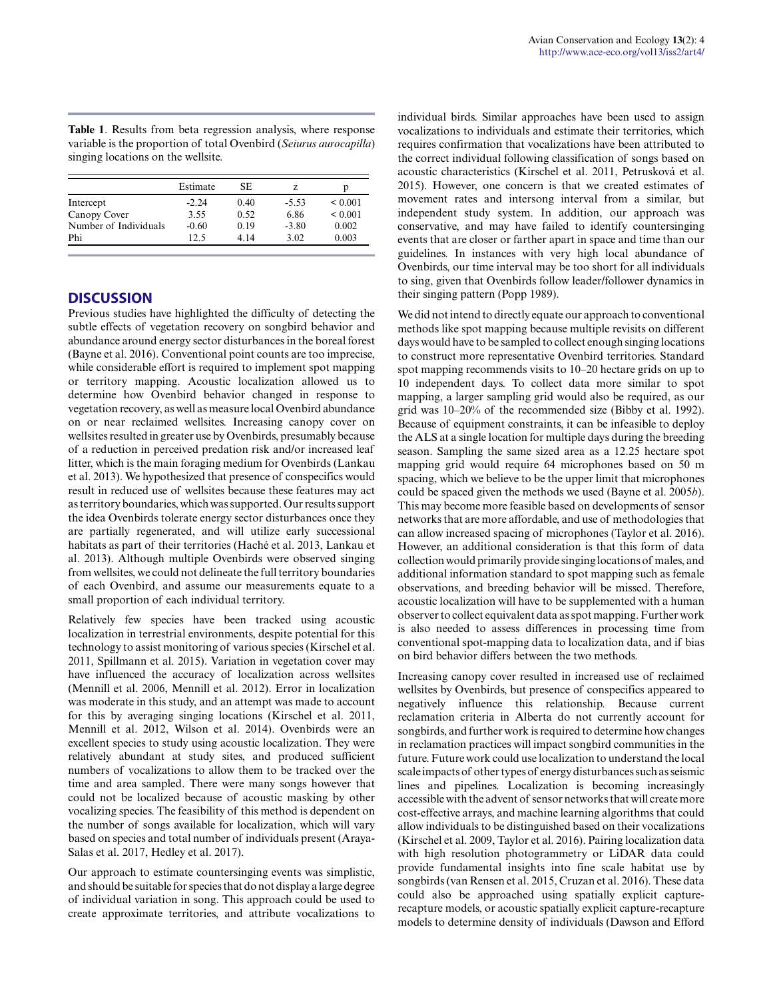**Table 1**. Results from beta regression analysis, where response variable is the proportion of total Ovenbird (*Seiurus aurocapilla*) singing locations on the wellsite.

|                       | Estimate | SE.   | Z       | р            |
|-----------------------|----------|-------|---------|--------------|
| Intercept             | $-2.24$  | 0.40  | $-5.53$ | ${}_{0.001}$ |
| Canopy Cover          | 3.55     | 0.52  | 6.86    | ${}_{0.001}$ |
| Number of Individuals | $-0.60$  | 0.19  | $-3.80$ | 0.002        |
| Phi                   | 12.5     | 4 1 4 | 3.02    | 0.003        |

## **DISCUSSION**

Previous studies have highlighted the difficulty of detecting the subtle effects of vegetation recovery on songbird behavior and abundance around energy sector disturbances in the boreal forest (Bayne et al. 2016). Conventional point counts are too imprecise, while considerable effort is required to implement spot mapping or territory mapping. Acoustic localization allowed us to determine how Ovenbird behavior changed in response to vegetation recovery, as well as measure local Ovenbird abundance on or near reclaimed wellsites. Increasing canopy cover on wellsites resulted in greater use by Ovenbirds, presumably because of a reduction in perceived predation risk and/or increased leaf litter, which is the main foraging medium for Ovenbirds (Lankau et al. 2013). We hypothesized that presence of conspecifics would result in reduced use of wellsites because these features may act as territory boundaries, which was supported. Our results support the idea Ovenbirds tolerate energy sector disturbances once they are partially regenerated, and will utilize early successional habitats as part of their territories (Haché et al. 2013, Lankau et al. 2013). Although multiple Ovenbirds were observed singing from wellsites, we could not delineate the full territory boundaries of each Ovenbird, and assume our measurements equate to a small proportion of each individual territory.

Relatively few species have been tracked using acoustic localization in terrestrial environments, despite potential for this technology to assist monitoring of various species (Kirschel et al. 2011, Spillmann et al. 2015). Variation in vegetation cover may have influenced the accuracy of localization across wellsites (Mennill et al. 2006, Mennill et al. 2012). Error in localization was moderate in this study, and an attempt was made to account for this by averaging singing locations (Kirschel et al. 2011, Mennill et al. 2012, Wilson et al. 2014). Ovenbirds were an excellent species to study using acoustic localization. They were relatively abundant at study sites, and produced sufficient numbers of vocalizations to allow them to be tracked over the time and area sampled. There were many songs however that could not be localized because of acoustic masking by other vocalizing species. The feasibility of this method is dependent on the number of songs available for localization, which will vary based on species and total number of individuals present (Araya-Salas et al. 2017, Hedley et al. 2017).

Our approach to estimate countersinging events was simplistic, and should be suitable for species that do not display a large degree of individual variation in song. This approach could be used to create approximate territories, and attribute vocalizations to individual birds. Similar approaches have been used to assign vocalizations to individuals and estimate their territories, which requires confirmation that vocalizations have been attributed to the correct individual following classification of songs based on acoustic characteristics (Kirschel et al. 2011, Petrusková et al. 2015). However, one concern is that we created estimates of movement rates and intersong interval from a similar, but independent study system. In addition, our approach was conservative, and may have failed to identify countersinging events that are closer or farther apart in space and time than our guidelines. In instances with very high local abundance of Ovenbirds, our time interval may be too short for all individuals to sing, given that Ovenbirds follow leader/follower dynamics in their singing pattern (Popp 1989).

We did not intend to directly equate our approach to conventional methods like spot mapping because multiple revisits on different days would have to be sampled to collect enough singing locations to construct more representative Ovenbird territories. Standard spot mapping recommends visits to 10–20 hectare grids on up to 10 independent days. To collect data more similar to spot mapping, a larger sampling grid would also be required, as our grid was 10–20% of the recommended size (Bibby et al. 1992). Because of equipment constraints, it can be infeasible to deploy the ALS at a single location for multiple days during the breeding season. Sampling the same sized area as a 12.25 hectare spot mapping grid would require 64 microphones based on 50 m spacing, which we believe to be the upper limit that microphones could be spaced given the methods we used (Bayne et al. 2005*b*). This may become more feasible based on developments of sensor networks that are more affordable, and use of methodologies that can allow increased spacing of microphones (Taylor et al. 2016). However, an additional consideration is that this form of data collection would primarily provide singing locations of males, and additional information standard to spot mapping such as female observations, and breeding behavior will be missed. Therefore, acoustic localization will have to be supplemented with a human observer to collect equivalent data as spot mapping. Further work is also needed to assess differences in processing time from conventional spot-mapping data to localization data, and if bias on bird behavior differs between the two methods.

Increasing canopy cover resulted in increased use of reclaimed wellsites by Ovenbirds, but presence of conspecifics appeared to negatively influence this relationship. Because current reclamation criteria in Alberta do not currently account for songbirds, and further work is required to determine how changes in reclamation practices will impact songbird communities in the future. Future work could use localization to understand the local scale impacts of other types of energy disturbances such as seismic lines and pipelines. Localization is becoming increasingly accessible with the advent of sensor networks that will create more cost-effective arrays, and machine learning algorithms that could allow individuals to be distinguished based on their vocalizations (Kirschel et al. 2009, Taylor et al. 2016). Pairing localization data with high resolution photogrammetry or LiDAR data could provide fundamental insights into fine scale habitat use by songbirds (van Rensen et al. 2015, Cruzan et al. 2016). These data could also be approached using spatially explicit capturerecapture models, or acoustic spatially explicit capture-recapture models to determine density of individuals (Dawson and Efford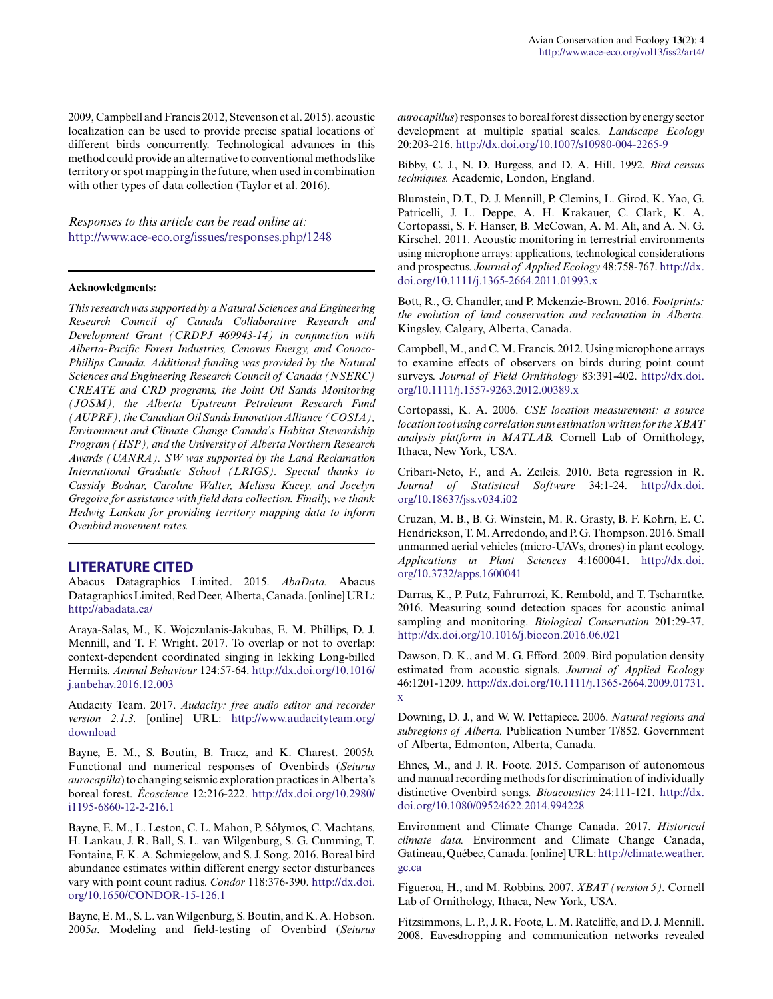2009, Campbell and Francis 2012, Stevenson et al. 2015). acoustic localization can be used to provide precise spatial locations of different birds concurrently. Technological advances in this method could provide an alternative to conventional methods like territory or spot mapping in the future, when used in combination with other types of data collection (Taylor et al. 2016).

*Responses to this article can be read online at:* <http://www.ace-eco.org/issues/responses.php/1248>

#### **Acknowledgments:**

*This research was supported by a Natural Sciences and Engineering Research Council of Canada Collaborative Research and Development Grant (CRDPJ 469943-14) in conjunction with Alberta-Pacific Forest Industries, Cenovus Energy, and Conoco-Phillips Canada. Additional funding was provided by the Natural Sciences and Engineering Research Council of Canada (NSERC) CREATE and CRD programs, the Joint Oil Sands Monitoring (JOSM), the Alberta Upstream Petroleum Research Fund (AUPRF), the Canadian Oil Sands Innovation Alliance (COSIA), Environment and Climate Change Canada's Habitat Stewardship Program (HSP), and the University of Alberta Northern Research Awards (UANRA). SW was supported by the Land Reclamation International Graduate School (LRIGS). Special thanks to Cassidy Bodnar, Caroline Walter, Melissa Kucey, and Jocelyn Gregoire for assistance with field data collection. Finally, we thank Hedwig Lankau for providing territory mapping data to inform Ovenbird movement rates.*

#### **LITERATURE CITED**

Abacus Datagraphics Limited. 2015. *AbaData.* Abacus Datagraphics Limited, Red Deer, Alberta, Canada. [online] URL: <http://abadata.ca/>

Araya-Salas, M., K. Wojczulanis-Jakubas, E. M. Phillips, D. J. Mennill, and T. F. Wright. 2017. To overlap or not to overlap: context-dependent coordinated singing in lekking Long-billed Hermits. *Animal Behaviour* 124:57-64. [http://dx.doi.org/10.1016/](http://dx.doi.org/10.1016%2Fj.anbehav.2016.12.003) [j.anbehav.2016.12.003](http://dx.doi.org/10.1016%2Fj.anbehav.2016.12.003) 

Audacity Team. 2017. *Audacity: free audio editor and recorder version 2.1.3.* [online] URL: [http://www.audacityteam.org/](http://www.audacityteam.org/download) [download](http://www.audacityteam.org/download)

Bayne, E. M., S. Boutin, B. Tracz, and K. Charest. 2005*b.* Functional and numerical responses of Ovenbirds (*Seiurus aurocapilla*) to changing seismic exploration practices in Alberta's boreal forest. *Écoscience* 12:216-222. [http://dx.doi.org/10.2980/](http://dx.doi.org/10.2980%2Fi1195-6860-12-2-216.1) [i1195-6860-12-2-216.1](http://dx.doi.org/10.2980%2Fi1195-6860-12-2-216.1)

Bayne, E. M., L. Leston, C. L. Mahon, P. Sólymos, C. Machtans, H. Lankau, J. R. Ball, S. L. van Wilgenburg, S. G. Cumming, T. Fontaine, F. K. A. Schmiegelow, and S. J. Song. 2016. Boreal bird abundance estimates within different energy sector disturbances vary with point count radius. *Condor* 118:376-390. [http://dx.doi.](http://dx.doi.org/10.1650%2FCONDOR-15-126.1) [org/10.1650/CONDOR-15-126.1](http://dx.doi.org/10.1650%2FCONDOR-15-126.1) 

Bayne, E. M., S. L. van Wilgenburg, S. Boutin, and K. A. Hobson. 2005*a*. Modeling and field-testing of Ovenbird (*Seiurus* *aurocapillus*) responses to boreal forest dissection by energy sector development at multiple spatial scales. *Landscape Ecology* 20:203-216. [http://dx.doi.org/10.1007/s10980-004-2265-9](http://dx.doi.org/10.1007%2Fs10980-004-2265-9)

Bibby, C. J., N. D. Burgess, and D. A. Hill. 1992. *Bird census techniques.* Academic, London, England.

Blumstein, D.T., D. J. Mennill, P. Clemins, L. Girod, K. Yao, G. Patricelli, J. L. Deppe, A. H. Krakauer, C. Clark, K. A. Cortopassi, S. F. Hanser, B. McCowan, A. M. Ali, and A. N. G. Kirschel. 2011. Acoustic monitoring in terrestrial environments using microphone arrays: applications, technological considerations and prospectus. *Journal of Applied Ecology* 48:758-767. [http://dx.](http://dx.doi.org/10.1111%2Fj.1365-2664.2011.01993.x) [doi.org/10.1111/j.1365-2664.2011.01993.x](http://dx.doi.org/10.1111%2Fj.1365-2664.2011.01993.x)

Bott, R., G. Chandler, and P. Mckenzie-Brown. 2016. *Footprints: the evolution of land conservation and reclamation in Alberta.* Kingsley, Calgary, Alberta, Canada.

Campbell, M., and C. M. Francis. 2012. Using microphone arrays to examine effects of observers on birds during point count surveys. *Journal of Field Ornithology* 83:391-402. [http://dx.doi.](http://dx.doi.org/10.1111%2Fj.1557-9263.2012.00389.x) [org/10.1111/j.1557-9263.2012.00389.x](http://dx.doi.org/10.1111%2Fj.1557-9263.2012.00389.x)

Cortopassi, K. A. 2006. *CSE location measurement: a source location tool using correlation sum estimation written for the XBAT analysis platform in MATLAB.* Cornell Lab of Ornithology, Ithaca, New York, USA.

Cribari-Neto, F., and A. Zeileis. 2010. Beta regression in R. *Journal of Statistical Software* 34:1-24. [http://dx.doi.](http://dx.doi.org/10.18637%2Fjss.v034.i02) [org/10.18637/jss.v034.i02](http://dx.doi.org/10.18637%2Fjss.v034.i02) 

Cruzan, M. B., B. G. Winstein, M. R. Grasty, B. F. Kohrn, E. C. Hendrickson, T. M. Arredondo, and P. G. Thompson. 2016. Small unmanned aerial vehicles (micro-UAVs, drones) in plant ecology. *Applications in Plant Sciences* 4:1600041. [http://dx.doi.](http://dx.doi.org/10.3732%2Fapps.1600041) [org/10.3732/apps.1600041](http://dx.doi.org/10.3732%2Fapps.1600041)

Darras, K., P. Putz, Fahrurrozi, K. Rembold, and T. Tscharntke. 2016. Measuring sound detection spaces for acoustic animal sampling and monitoring. *Biological Conservation* 201:29-37. [http://dx.doi.org/10.1016/j.biocon.2016.06.021](http://dx.doi.org/10.1016%2Fj.biocon.2016.06.021)

Dawson, D. K., and M. G. Efford. 2009. Bird population density estimated from acoustic signals. *Journal of Applied Ecology* 46:1201-1209. [http://dx.doi.org/10.1111/j.1365-2664.2009.01731.](http://dx.doi.org/10.1111%2Fj.1365-2664.2009.01731.x) [x](http://dx.doi.org/10.1111%2Fj.1365-2664.2009.01731.x) 

Downing, D. J., and W. W. Pettapiece. 2006. *Natural regions and subregions of Alberta.* Publication Number T/852. Government of Alberta, Edmonton, Alberta, Canada.

Ehnes, M., and J. R. Foote. 2015. Comparison of autonomous and manual recording methods for discrimination of individually distinctive Ovenbird songs. *Bioacoustics* 24:111-121. [http://dx.](http://dx.doi.org/10.1080%2F09524622.2014.994228) [doi.org/10.1080/09524622.2014.994228](http://dx.doi.org/10.1080%2F09524622.2014.994228) 

Environment and Climate Change Canada. 2017. *Historical climate data.* Environment and Climate Change Canada, Gatineau, Québec, Canada. [online] URL: [http://climate.weather.](http://climate.weather.gc.ca) [gc.ca](http://climate.weather.gc.ca)

Figueroa, H., and M. Robbins. 2007. *XBAT (version 5).* Cornell Lab of Ornithology, Ithaca, New York, USA.

Fitzsimmons, L. P., J. R. Foote, L. M. Ratcliffe, and D. J. Mennill. 2008. Eavesdropping and communication networks revealed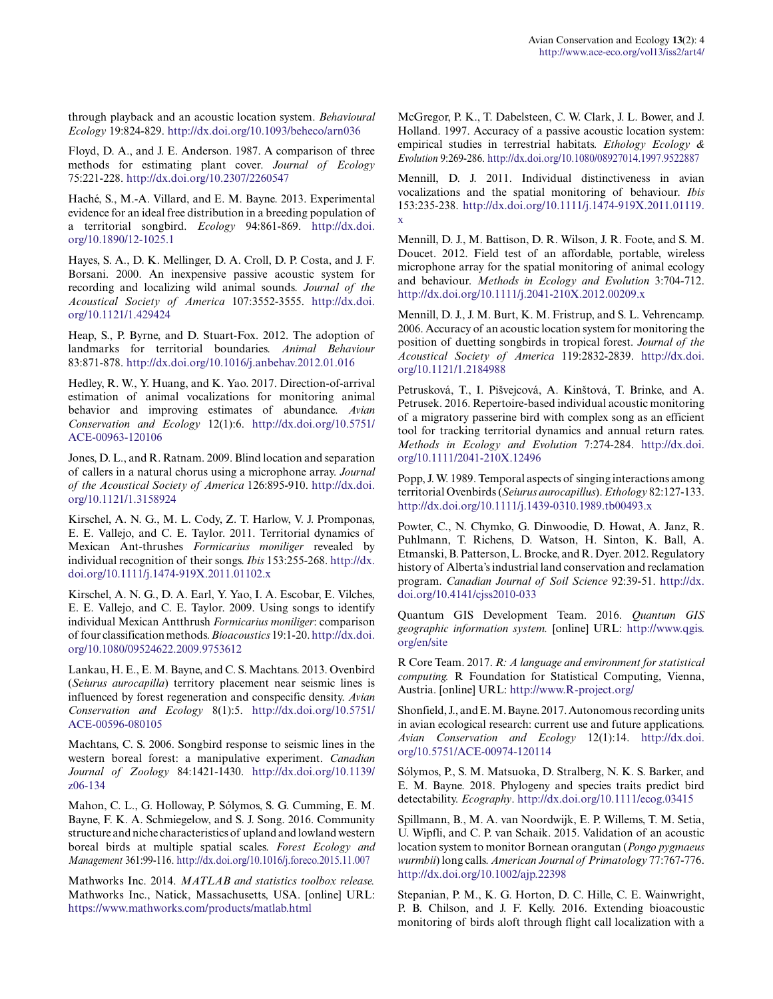through playback and an acoustic location system. *Behavioural Ecology* 19:824-829. [http://dx.doi.org/10.1093/beheco/arn036](http://dx.doi.org/10.1093%2Fbeheco%2Farn036) 

Floyd, D. A., and J. E. Anderson. 1987. A comparison of three methods for estimating plant cover. *Journal of Ecology* 75:221-228. [http://dx.doi.org/10.2307/2260547](http://dx.doi.org/10.2307%2F2260547) 

Haché, S., M.-A. Villard, and E. M. Bayne. 2013. Experimental evidence for an ideal free distribution in a breeding population of a territorial songbird. *Ecology* 94:861-869. [http://dx.doi.](http://dx.doi.org/10.1890%2F12-1025.1) [org/10.1890/12-1025.1](http://dx.doi.org/10.1890%2F12-1025.1)

Hayes, S. A., D. K. Mellinger, D. A. Croll, D. P. Costa, and J. F. Borsani. 2000. An inexpensive passive acoustic system for recording and localizing wild animal sounds. *Journal of the Acoustical Society of America* 107:3552-3555. [http://dx.doi.](http://dx.doi.org/10.1121%2F1.429424) [org/10.1121/1.429424](http://dx.doi.org/10.1121%2F1.429424)

Heap, S., P. Byrne, and D. Stuart-Fox. 2012. The adoption of landmarks for territorial boundaries. *Animal Behaviour* 83:871-878. [http://dx.doi.org/10.1016/j.anbehav.2012.01.016](http://dx.doi.org/10.1016%2Fj.anbehav.2012.01.016)

Hedley, R. W., Y. Huang, and K. Yao. 2017. Direction-of-arrival estimation of animal vocalizations for monitoring animal behavior and improving estimates of abundance. *Avian Conservation and Ecology* 12(1):6. [http://dx.doi.org/10.5751/](http://dx.doi.org/10.5751%2FACE-00963-120106) [ACE-00963-120106](http://dx.doi.org/10.5751%2FACE-00963-120106) 

Jones, D. L., and R. Ratnam. 2009. Blind location and separation of callers in a natural chorus using a microphone array. *Journal of the Acoustical Society of America* 126:895-910. [http://dx.doi.](http://dx.doi.org/10.1121%2F1.3158924) [org/10.1121/1.3158924](http://dx.doi.org/10.1121%2F1.3158924) 

Kirschel, A. N. G., M. L. Cody, Z. T. Harlow, V. J. Promponas, E. E. Vallejo, and C. E. Taylor. 2011. Territorial dynamics of Mexican Ant-thrushes *Formicarius moniliger* revealed by individual recognition of their songs. *Ibis* 153:255-268. [http://dx.](http://dx.doi.org/10.1111%2Fj.1474-919X.2011.01102.x) [doi.org/10.1111/j.1474-919X.2011.01102.x](http://dx.doi.org/10.1111%2Fj.1474-919X.2011.01102.x) 

Kirschel, A. N. G., D. A. Earl, Y. Yao, I. A. Escobar, E. Vilches, E. E. Vallejo, and C. E. Taylor. 2009. Using songs to identify individual Mexican Antthrush *Formicarius moniliger*: comparison of four classification methods. *Bioacoustics* 19:1-20. [http://dx.doi.](http://dx.doi.org/10.1080%2F09524622.2009.9753612) [org/10.1080/09524622.2009.9753612](http://dx.doi.org/10.1080%2F09524622.2009.9753612) 

Lankau, H. E., E. M. Bayne, and C. S. Machtans. 2013. Ovenbird (*Seiurus aurocapilla*) territory placement near seismic lines is influenced by forest regeneration and conspecific density. *Avian Conservation and Ecology* 8(1):5. [http://dx.doi.org/10.5751/](http://dx.doi.org/10.5751%2FACE-00596-080105) [ACE-00596-080105](http://dx.doi.org/10.5751%2FACE-00596-080105) 

Machtans, C. S. 2006. Songbird response to seismic lines in the western boreal forest: a manipulative experiment. *Canadian Journal of Zoology* 84:1421-1430. [http://dx.doi.org/10.1139/](http://dx.doi.org/10.1139%2Fz06-134) [z06-134](http://dx.doi.org/10.1139%2Fz06-134)

Mahon, C. L., G. Holloway, P. Sólymos, S. G. Cumming, E. M. Bayne, F. K. A. Schmiegelow, and S. J. Song. 2016. Community structure and niche characteristics of upland and lowland western boreal birds at multiple spatial scales. *Forest Ecology and Management* 361:99-116. [http://dx.doi.org/10.1016/j.foreco.2015.11.007](http://dx.doi.org/10.1016%2Fj.foreco.2015.11.007)

Mathworks Inc. 2014. *MATLAB and statistics toolbox release.* Mathworks Inc., Natick, Massachusetts, USA. [online] URL: <https://www.mathworks.com/products/matlab.html>

McGregor, P. K., T. Dabelsteen, C. W. Clark, J. L. Bower, and J. Holland. 1997. Accuracy of a passive acoustic location system: empirical studies in terrestrial habitats. *Ethology Ecology & Evolution* 9:269-286. [http://dx.doi.org/10.1080/08927014.1997.9522887](http://dx.doi.org/10.1080%2F08927014.1997.9522887) 

Mennill, D. J. 2011. Individual distinctiveness in avian vocalizations and the spatial monitoring of behaviour. *Ibis* 153:235-238. [http://dx.doi.org/10.1111/j.1474-919X.2011.01119.](http://dx.doi.org/10.1111%2Fj.1474-919X.2011.01119.x) [x](http://dx.doi.org/10.1111%2Fj.1474-919X.2011.01119.x) 

Mennill, D. J., M. Battison, D. R. Wilson, J. R. Foote, and S. M. Doucet. 2012. Field test of an affordable, portable, wireless microphone array for the spatial monitoring of animal ecology and behaviour. *Methods in Ecology and Evolution* 3:704-712. [http://dx.doi.org/10.1111/j.2041-210X.2012.00209.x](http://dx.doi.org/10.1111%2Fj.2041-210X.2012.00209.x) 

Mennill, D. J., J. M. Burt, K. M. Fristrup, and S. L. Vehrencamp. 2006. Accuracy of an acoustic location system for monitoring the position of duetting songbirds in tropical forest. *Journal of the Acoustical Society of America* 119:2832-2839. [http://dx.doi.](http://dx.doi.org/10.1121%2F1.2184988) [org/10.1121/1.2184988](http://dx.doi.org/10.1121%2F1.2184988) 

Petrusková, T., I. Pišvejcová, A. Kinštová, T. Brinke, and A. Petrusek. 2016. Repertoire-based individual acoustic monitoring of a migratory passerine bird with complex song as an efficient tool for tracking territorial dynamics and annual return rates. *Methods in Ecology and Evolution* 7:274-284. [http://dx.doi.](http://dx.doi.org/10.1111%2F2041-210X.12496) [org/10.1111/2041-210X.12496](http://dx.doi.org/10.1111%2F2041-210X.12496) 

Popp, J. W. 1989. Temporal aspects of singing interactions among territorial Ovenbirds (*Seiurus aurocapillus*). *Ethology* 82:127-133. [http://dx.doi.org/10.1111/j.1439-0310.1989.tb00493.x](http://dx.doi.org/10.1111%2Fj.1439-0310.1989.tb00493.x)

Powter, C., N. Chymko, G. Dinwoodie, D. Howat, A. Janz, R. Puhlmann, T. Richens, D. Watson, H. Sinton, K. Ball, A. Etmanski, B. Patterson, L. Brocke, and R. Dyer. 2012. Regulatory history of Alberta's industrial land conservation and reclamation program. *Canadian Journal of Soil Science* 92:39-51. [http://dx.](http://dx.doi.org/10.4141%2Fcjss2010-033) [doi.org/10.4141/cjss2010-033](http://dx.doi.org/10.4141%2Fcjss2010-033) 

Quantum GIS Development Team. 2016. *Quantum GIS geographic information system.* [online] URL: [http://www.qgis.](http://www.qgis.org/en/site) [org/en/site](http://www.qgis.org/en/site) 

R Core Team. 2017. *R: A language and environment for statistical computing.* R Foundation for Statistical Computing, Vienna, Austria. [online] URL: <http://www.R-project.org/>

Shonfield, J., and E. M. Bayne. 2017. Autonomous recording units in avian ecological research: current use and future applications. *Avian Conservation and Ecology* 12(1):14. [http://dx.doi.](http://dx.doi.org/10.5751%2FACE-00974-120114) [org/10.5751/ACE-00974-120114](http://dx.doi.org/10.5751%2FACE-00974-120114) 

Sólymos, P., S. M. Matsuoka, D. Stralberg, N. K. S. Barker, and E. M. Bayne. 2018. Phylogeny and species traits predict bird detectability. *Ecography*. [http://dx.doi.org/10.1111/ecog.03415](http://dx.doi.org/10.1111%2Fecog.03415)

Spillmann, B., M. A. van Noordwijk, E. P. Willems, T. M. Setia, U. Wipfli, and C. P. van Schaik. 2015. Validation of an acoustic location system to monitor Bornean orangutan (*Pongo pygmaeus wurmbii*) long calls. *American Journal of Primatology* 77:767-776. [http://dx.doi.org/10.1002/ajp.22398](http://dx.doi.org/10.1002%2Fajp.22398) 

Stepanian, P. M., K. G. Horton, D. C. Hille, C. E. Wainwright, P. B. Chilson, and J. F. Kelly. 2016. Extending bioacoustic monitoring of birds aloft through flight call localization with a